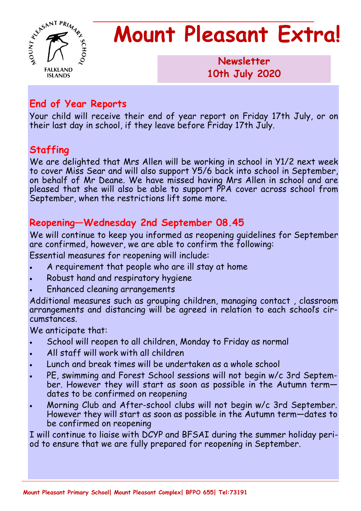

# **Mount Pleasant Extra!**

**Newsletter 1986 10th July 2020**

#### **End of Year Reports**

Your child will receive their end of year report on Friday 17th July, or on their last day in school, if they leave before Friday 17th July.

## **Staffing**

We are delighted that Mrs Allen will be working in school in Y1/2 next week to cover Miss Sear and will also support Y5/6 back into school in September, on behalf of Mr Deane. We have missed having Mrs Allen in school and are pleased that she will also be able to support PPA cover across school from September, when the restrictions lift some more.

## **Reopening—Wednesday 2nd September 08.45**

We will continue to keep you informed as reopening guidelines for September are confirmed, however, we are able to confirm the following:

Essential measures for reopening will include:

- A requirement that people who are ill stay at home
- Robust hand and respiratory hygiene
- Enhanced cleaning arrangements

Additional measures such as grouping children, managing contact , classroom arrangements and distancing will be agreed in relation to each school's circumstances.

We anticipate that:

- School will reopen to all children, Monday to Friday as normal
- All staff will work with all children
- Lunch and break times will be undertaken as a whole school
- PE, swimming and Forest School sessions will not begin w/c 3rd September. However they will start as soon as possible in the Autumn termdates to be confirmed on reopening
- Morning Club and After-school clubs will not begin w/c 3rd September. However they will start as soon as possible in the Autumn term—dates to be confirmed on reopening

I will continue to liaise with DCYP and BFSAI during the summer holiday period to ensure that we are fully prepared for reopening in September.